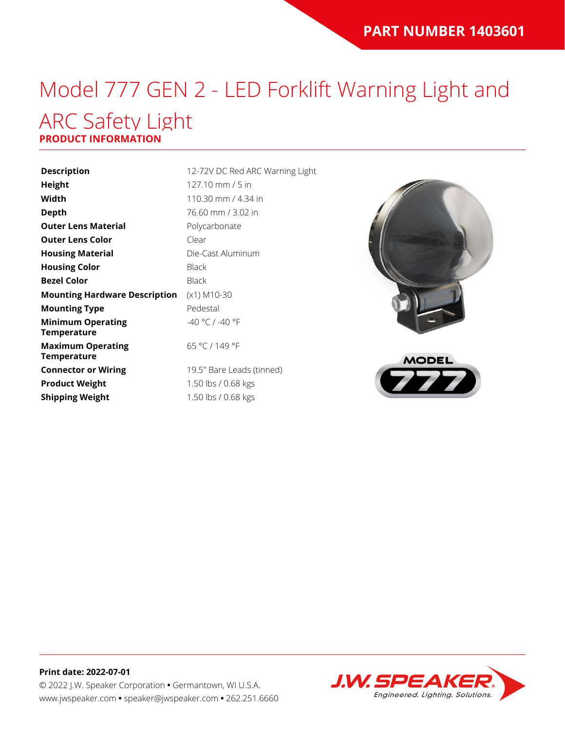# Model 777 GEN 2 - LED Forklift Warning Light and ARC Safety Light

### **PRODUCT INFORMATION**

| <b>Description</b>                             | 12-72V D     |
|------------------------------------------------|--------------|
| Height                                         | 127.10 n     |
| Width                                          | 110.30 n     |
| Depth                                          | 76.60 mi     |
| <b>Outer Lens Material</b>                     | Polycarb     |
| <b>Outer Lens Color</b>                        | Clear        |
| <b>Housing Material</b>                        | Die-Cast     |
| <b>Housing Color</b>                           | <b>Black</b> |
| <b>Bezel Color</b>                             | <b>Black</b> |
| <b>Mounting Hardware Description</b>           | $(x1)$ M10   |
| <b>Mounting Type</b>                           | Pedestal     |
| <b>Minimum Operating</b><br>Temperature        | $-40 °C/$    |
| <b>Maximum Operating</b><br><b>Temperature</b> | 65 °C / 1    |
| <b>Connector or Wiring</b>                     | 19.5" Ba     |
| <b>Product Weight</b>                          | 1.50 lbs     |
| <b>Shipping Weight</b>                         | 1.50 lbs .   |
|                                                |              |

**ription** 12-72V DC Red ARC Warning Light **Height** 127.10 mm / 5 in **Width** 110.30 mm / 4.34 in **Depth** 76.60 mm / 3.02 in **Carbonate** *<u>Cast Aluminum</u>* **M10-30**  $\degree$ C / -40  $\degree$ F °C / 149 °F 5" Bare Leads (tinned)

**Product Weight** 1.50 lbs / 0.68 kgs **Shipping Weight** 1.50 lbs / 0.68 kgs





#### **Print date: 2022-07-01** © 2022 J.W. Speaker Corporation **•** Germantown, WI U.S.A. www.jwspeaker.com **•** speaker@jwspeaker.com **•** 262.251.6660

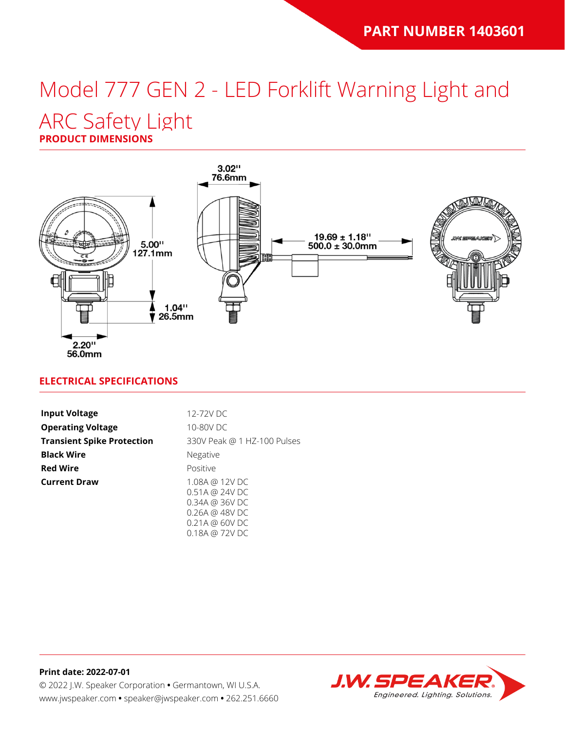# Model 777 GEN 2 - LED Forklift Warning Light and

### ARC Safety Light

**PRODUCT DIMENSIONS**



### **ELECTRICAL SPECIFICATIONS**

| <b>Input Voltage</b>              | 12-72V DC                                                           |
|-----------------------------------|---------------------------------------------------------------------|
| <b>Operating Voltage</b>          | 10-80V DC                                                           |
| <b>Transient Spike Protection</b> | 330V Peak @ 1 HZ-100 Pulses                                         |
| <b>Black Wire</b>                 | Negative                                                            |
| <b>Red Wire</b>                   | Positive                                                            |
| <b>Current Draw</b>               | 1.08A @ 12V DC<br>0.51A @ 24V DC<br>0.34A @ 36VDC<br>0.26A @ 48V DC |

0.18A @ 72V DC

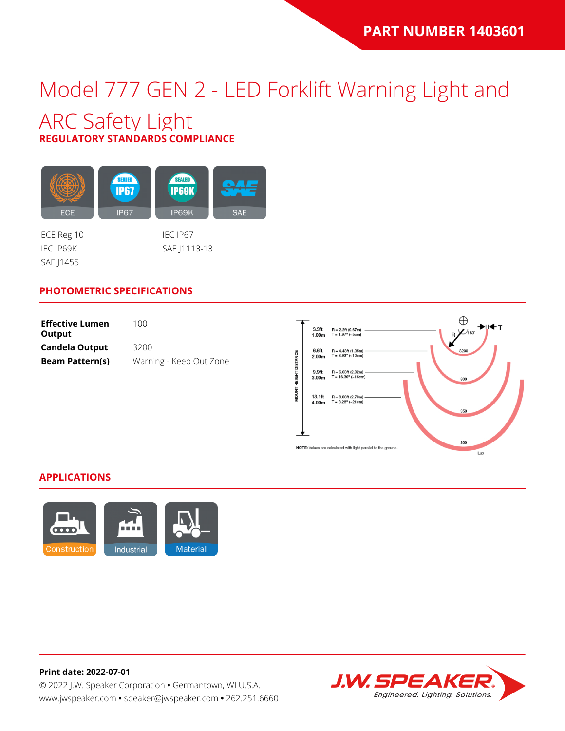## Model 777 GEN 2 - LED Forklift Warning Light and

### ARC Safety Light **REGULATORY STANDARDS COMPLIANCE**

SEALED SEALED **IP67 IP69K** ECE **IP67** IP69K **SAE** 

SAE J1455

ECE Reg 10 IEC IP67 IEC IP69K SAE J1113-13

### **PHOTOMETRIC SPECIFICATIONS**

| <b>Effective Lumen</b><br>Output | 100.                    |
|----------------------------------|-------------------------|
| <b>Candela Output</b>            | 3200                    |
| <b>Beam Pattern(s)</b>           | Warning - Keep Out Zone |



#### **APPLICATIONS**



**Print date: 2022-07-01** © 2022 J.W. Speaker Corporation **•** Germantown, WI U.S.A. www.jwspeaker.com **•** speaker@jwspeaker.com **•** 262.251.6660